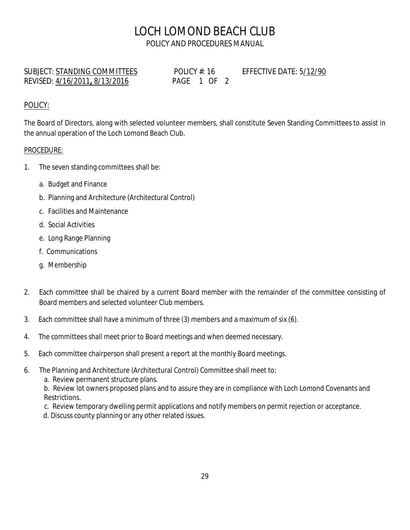## LOCH LOMOND BEACH CLUB POLICY AND PROCEDURES MANUAL

SUBJECT: STANDING COMMITTEES POLICY #: 16 EFFECTIVE DATE: 5/12/90 REVISED: 4/16/2011**,** 8/13/2016PAGE 1 OF 2

## POLICY:

The Board of Directors, along with selected volunteer members, shall constitute Seven Standing Committees to assist in the annual operation of the Loch Lomond Beach Club.

## PROCEDURE:

- 1. The seven standing committees shall be:
	- a. Budget and Finance
	- b. Planning and Architecture (Architectural Control)
	- c. Facilities and Maintenance
	- d. Social Activities
	- e. Long Range Planning
	- f. Communications
	- g. Membership
- 2. Each committee shall be chaired by a current Board member with the remainder of the committee consisting of Board members and selected volunteer Club members.
- 3. Each committee shall have a minimum of three (3) members and a maximum of six (6).
- 4. The committees shall meet prior to Board meetings and when deemed necessary.
- 5. Each committee chairperson shall present a report at the monthly Board meetings.
- 6. The Planning and Architecture (Architectural Control) Committee shall meet to:
	- a. Review permanent structure plans.

b. Review lot owners proposed plans and to assure they are in compliance with Loch Lomond Covenants and Restrictions.

- c. Review temporary dwelling permit applications and notify members on permit rejection or acceptance.
- d. Discuss county planning or any other related issues.